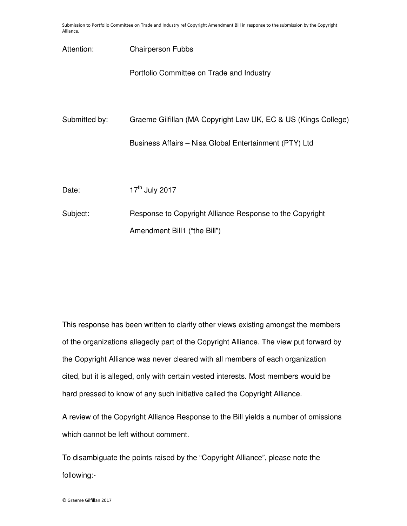Submission to Portfolio Committee on Trade and Industry ref Copyright Amendment Bill in response to the submission by the Copyright Alliance.

| Attention:    | <b>Chairperson Fubbs</b>                                       |
|---------------|----------------------------------------------------------------|
|               | Portfolio Committee on Trade and Industry                      |
|               |                                                                |
| Submitted by: | Graeme Gilfillan (MA Copyright Law UK, EC & US (Kings College) |
|               | Business Affairs - Nisa Global Entertainment (PTY) Ltd         |
|               |                                                                |
| Date:         | 17 <sup>th</sup> July 2017                                     |
| Subject:      | Response to Copyright Alliance Response to the Copyright       |
|               | Amendment Bill1 ("the Bill")                                   |

This response has been written to clarify other views existing amongst the members of the organizations allegedly part of the Copyright Alliance. The view put forward by the Copyright Alliance was never cleared with all members of each organization cited, but it is alleged, only with certain vested interests. Most members would be hard pressed to know of any such initiative called the Copyright Alliance.

A review of the Copyright Alliance Response to the Bill yields a number of omissions which cannot be left without comment.

To disambiguate the points raised by the "Copyright Alliance", please note the following:-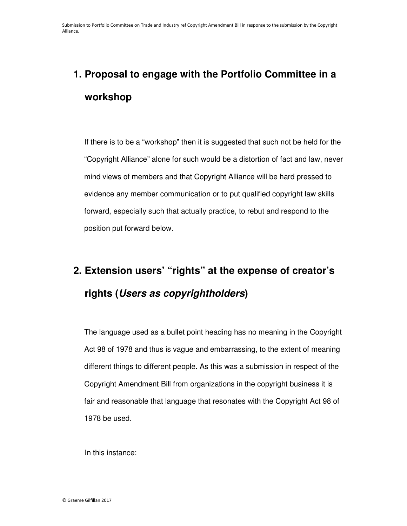## **1. Proposal to engage with the Portfolio Committee in a workshop**

If there is to be a "workshop" then it is suggested that such not be held for the "Copyright Alliance" alone for such would be a distortion of fact and law, never mind views of members and that Copyright Alliance will be hard pressed to evidence any member communication or to put qualified copyright law skills forward, especially such that actually practice, to rebut and respond to the position put forward below.

### **2. Extension users' "rights" at the expense of creator's rights (Users as copyrightholders)**

The language used as a bullet point heading has no meaning in the Copyright Act 98 of 1978 and thus is vague and embarrassing, to the extent of meaning different things to different people. As this was a submission in respect of the Copyright Amendment Bill from organizations in the copyright business it is fair and reasonable that language that resonates with the Copyright Act 98 of 1978 be used.

In this instance: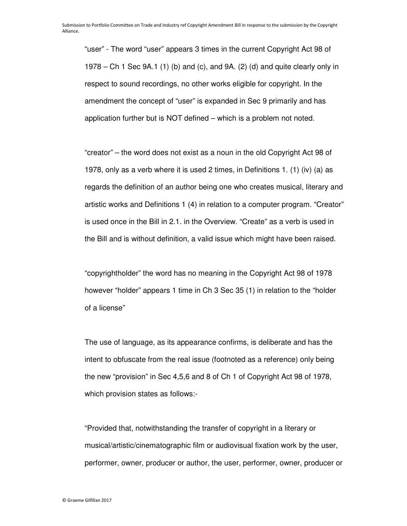"user" - The word "user" appears 3 times in the current Copyright Act 98 of 1978 – Ch 1 Sec 9A.1 (1) (b) and (c), and 9A. (2) (d) and quite clearly only in respect to sound recordings, no other works eligible for copyright. In the amendment the concept of "user" is expanded in Sec 9 primarily and has application further but is NOT defined – which is a problem not noted.

"creator" – the word does not exist as a noun in the old Copyright Act 98 of 1978, only as a verb where it is used 2 times, in Definitions 1. (1) (iv) (a) as regards the definition of an author being one who creates musical, literary and artistic works and Definitions 1 (4) in relation to a computer program. "Creator" is used once in the Bill in 2.1. in the Overview. "Create" as a verb is used in the Bill and is without definition, a valid issue which might have been raised.

"copyrightholder" the word has no meaning in the Copyright Act 98 of 1978 however "holder" appears 1 time in Ch 3 Sec 35 (1) in relation to the "holder of a license"

The use of language, as its appearance confirms, is deliberate and has the intent to obfuscate from the real issue (footnoted as a reference) only being the new "provision" in Sec 4,5,6 and 8 of Ch 1 of Copyright Act 98 of 1978, which provision states as follows:-

"Provided that, notwithstanding the transfer of copyright in a literary or musical/artistic/cinematographic film or audiovisual fixation work by the user, performer, owner, producer or author, the user, performer, owner, producer or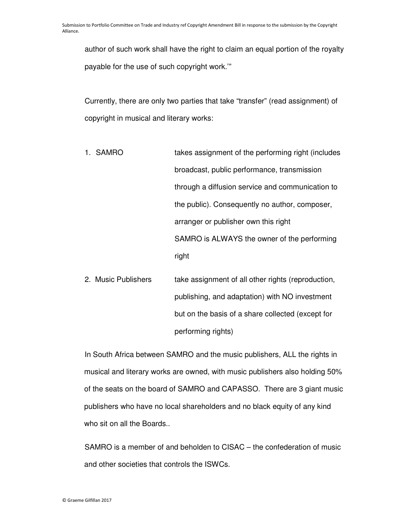author of such work shall have the right to claim an equal portion of the royalty payable for the use of such copyright work.'"

Currently, there are only two parties that take "transfer" (read assignment) of copyright in musical and literary works:

- 1. SAMRO takes assignment of the performing right (includes broadcast, public performance, transmission through a diffusion service and communication to the public). Consequently no author, composer, arranger or publisher own this right SAMRO is ALWAYS the owner of the performing right
- 2. Music Publishers take assignment of all other rights (reproduction, publishing, and adaptation) with NO investment but on the basis of a share collected (except for performing rights)

In South Africa between SAMRO and the music publishers, ALL the rights in musical and literary works are owned, with music publishers also holding 50% of the seats on the board of SAMRO and CAPASSO. There are 3 giant music publishers who have no local shareholders and no black equity of any kind who sit on all the Boards..

SAMRO is a member of and beholden to CISAC – the confederation of music and other societies that controls the ISWCs.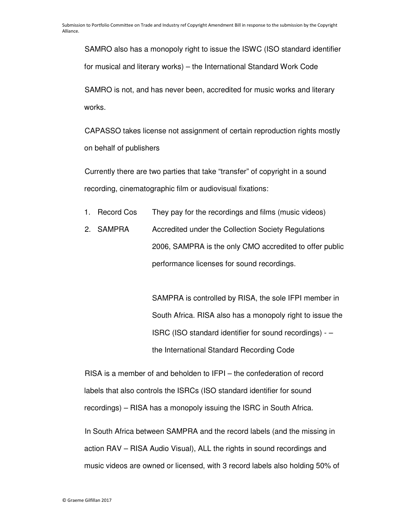SAMRO also has a monopoly right to issue the ISWC (ISO standard identifier for musical and literary works) – the International Standard Work Code

SAMRO is not, and has never been, accredited for music works and literary works.

CAPASSO takes license not assignment of certain reproduction rights mostly on behalf of publishers

Currently there are two parties that take "transfer" of copyright in a sound recording, cinematographic film or audiovisual fixations:

- 1. Record Cos They pay for the recordings and films (music videos)
- 2. SAMPRA Accredited under the Collection Society Regulations 2006, SAMPRA is the only CMO accredited to offer public performance licenses for sound recordings.

SAMPRA is controlled by RISA, the sole IFPI member in South Africa. RISA also has a monopoly right to issue the ISRC (ISO standard identifier for sound recordings) - – the International Standard Recording Code

RISA is a member of and beholden to IFPI – the confederation of record labels that also controls the ISRCs (ISO standard identifier for sound recordings) – RISA has a monopoly issuing the ISRC in South Africa.

In South Africa between SAMPRA and the record labels (and the missing in action RAV – RISA Audio Visual), ALL the rights in sound recordings and music videos are owned or licensed, with 3 record labels also holding 50% of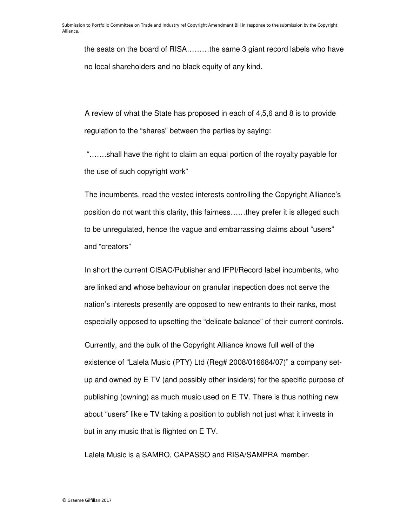the seats on the board of RISA………the same 3 giant record labels who have no local shareholders and no black equity of any kind.

A review of what the State has proposed in each of 4,5,6 and 8 is to provide regulation to the "shares" between the parties by saying:

 "…….shall have the right to claim an equal portion of the royalty payable for the use of such copyright work"

The incumbents, read the vested interests controlling the Copyright Alliance's position do not want this clarity, this fairness……they prefer it is alleged such to be unregulated, hence the vague and embarrassing claims about "users" and "creators"

In short the current CISAC/Publisher and IFPI/Record label incumbents, who are linked and whose behaviour on granular inspection does not serve the nation's interests presently are opposed to new entrants to their ranks, most especially opposed to upsetting the "delicate balance" of their current controls.

Currently, and the bulk of the Copyright Alliance knows full well of the existence of "Lalela Music (PTY) Ltd (Reg# 2008/016684/07)" a company setup and owned by E TV (and possibly other insiders) for the specific purpose of publishing (owning) as much music used on E TV. There is thus nothing new about "users" like e TV taking a position to publish not just what it invests in but in any music that is flighted on E TV.

Lalela Music is a SAMRO, CAPASSO and RISA/SAMPRA member.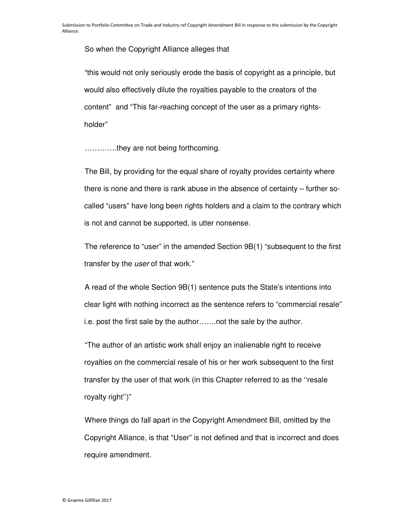So when the Copyright Alliance alleges that

"this would not only seriously erode the basis of copyright as a principle, but would also effectively dilute the royalties payable to the creators of the content" and "This far-reaching concept of the user as a primary rightsholder"

………….they are not being forthcoming.

The Bill, by providing for the equal share of royalty provides certainty where there is none and there is rank abuse in the absence of certainty – further socalled "users" have long been rights holders and a claim to the contrary which is not and cannot be supported, is utter nonsense.

The reference to "user" in the amended Section 9B(1) "subsequent to the first transfer by the user of that work."

A read of the whole Section 9B(1) sentence puts the State's intentions into clear light with nothing incorrect as the sentence refers to "commercial resale" i.e. post the first sale by the author…….not the sale by the author.

"The author of an artistic work shall enjoy an inalienable right to receive royalties on the commercial resale of his or her work subsequent to the first transfer by the user of that work (in this Chapter referred to as the ''resale royalty right'')"

Where things do fall apart in the Copyright Amendment Bill, omitted by the Copyright Alliance, is that "User" is not defined and that is incorrect and does require amendment.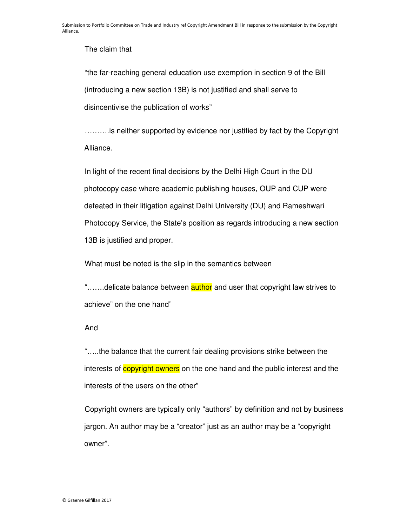The claim that

"the far-reaching general education use exemption in section 9 of the Bill (introducing a new section 13B) is not justified and shall serve to disincentivise the publication of works"

……….is neither supported by evidence nor justified by fact by the Copyright Alliance.

In light of the recent final decisions by the Delhi High Court in the DU photocopy case where academic publishing houses, OUP and CUP were defeated in their litigation against Delhi University (DU) and Rameshwari Photocopy Service, the State's position as regards introducing a new section 13B is justified and proper.

What must be noted is the slip in the semantics between

".......delicate balance between **author** and user that copyright law strives to achieve" on the one hand"

#### And

"…..the balance that the current fair dealing provisions strike between the interests of **copyright owners** on the one hand and the public interest and the interests of the users on the other"

Copyright owners are typically only "authors" by definition and not by business jargon. An author may be a "creator" just as an author may be a "copyright owner".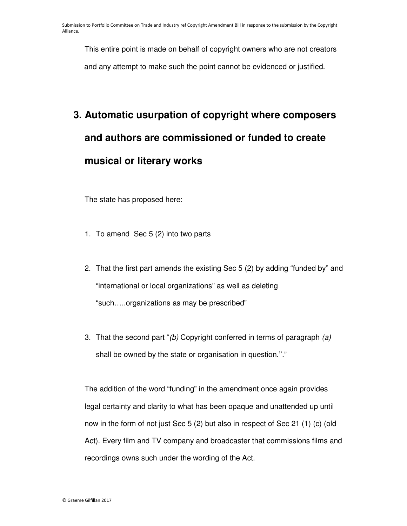This entire point is made on behalf of copyright owners who are not creators and any attempt to make such the point cannot be evidenced or justified.

# **3. Automatic usurpation of copyright where composers and authors are commissioned or funded to create musical or literary works**

The state has proposed here:

- 1. To amend Sec 5 (2) into two parts
- 2. That the first part amends the existing Sec 5 (2) by adding "funded by" and "international or local organizations" as well as deleting "such…..organizations as may be prescribed"
- 3. That the second part "(b) Copyright conferred in terms of paragraph (a) shall be owned by the state or organisation in question.''."

The addition of the word "funding" in the amendment once again provides legal certainty and clarity to what has been opaque and unattended up until now in the form of not just Sec 5 (2) but also in respect of Sec 21 (1) (c) (old Act). Every film and TV company and broadcaster that commissions films and recordings owns such under the wording of the Act.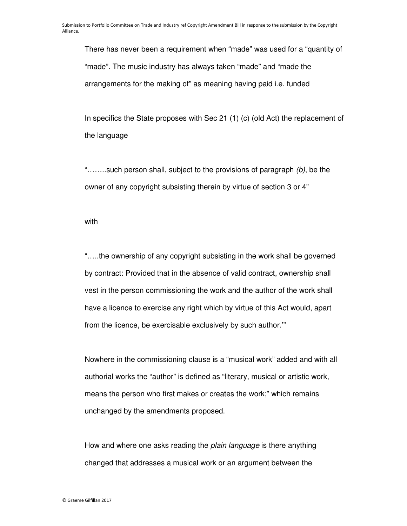There has never been a requirement when "made" was used for a "quantity of "made". The music industry has always taken "made" and "made the arrangements for the making of" as meaning having paid i.e. funded

In specifics the State proposes with Sec 21 (1) (c) (old Act) the replacement of the language

"........such person shall, subject to the provisions of paragraph (b), be the owner of any copyright subsisting therein by virtue of section 3 or 4"

with

"…..the ownership of any copyright subsisting in the work shall be governed by contract: Provided that in the absence of valid contract, ownership shall vest in the person commissioning the work and the author of the work shall have a licence to exercise any right which by virtue of this Act would, apart from the licence, be exercisable exclusively by such author.'"

Nowhere in the commissioning clause is a "musical work" added and with all authorial works the "author" is defined as "literary, musical or artistic work, means the person who first makes or creates the work;" which remains unchanged by the amendments proposed.

How and where one asks reading the *plain language* is there anything changed that addresses a musical work or an argument between the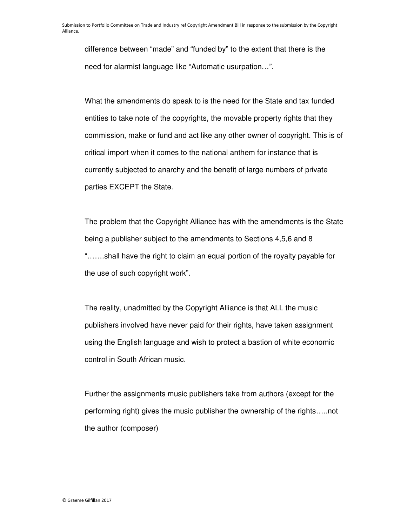difference between "made" and "funded by" to the extent that there is the need for alarmist language like "Automatic usurpation…".

What the amendments do speak to is the need for the State and tax funded entities to take note of the copyrights, the movable property rights that they commission, make or fund and act like any other owner of copyright. This is of critical import when it comes to the national anthem for instance that is currently subjected to anarchy and the benefit of large numbers of private parties EXCEPT the State.

The problem that the Copyright Alliance has with the amendments is the State being a publisher subject to the amendments to Sections 4,5,6 and 8 "…….shall have the right to claim an equal portion of the royalty payable for the use of such copyright work".

The reality, unadmitted by the Copyright Alliance is that ALL the music publishers involved have never paid for their rights, have taken assignment using the English language and wish to protect a bastion of white economic control in South African music.

Further the assignments music publishers take from authors (except for the performing right) gives the music publisher the ownership of the rights…..not the author (composer)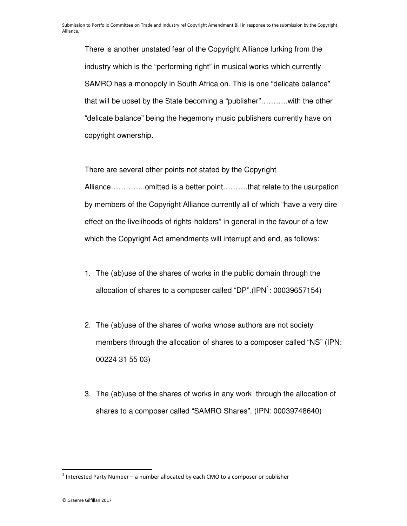There is another unstated fear of the Copyright Alliance lurking from the industry which is the "performing right" in musical works which currently SAMRO has a monopoly in South Africa on. This is one "delicate balance" that will be upset by the State becoming a "publisher"………..with the other "delicate balance" being the hegemony music publishers currently have on copyright ownership.

There are several other points not stated by the Copyright Alliance…………..omitted is a better point……….that relate to the usurpation by members of the Copyright Alliance currently all of which "have a very dire effect on the livelihoods of rights-holders" in general in the favour of a few which the Copyright Act amendments will interrupt and end, as follows:

- 1. The (ab)use of the shares of works in the public domain through the allocation of shares to a composer called "DP".(IPN $^1$ : 00039657154)
- 2. The (ab)use of the shares of works whose authors are not society members through the allocation of shares to a composer called "NS" (IPN: 00224 31 55 03)
- 3. The (ab)use of the shares of works in any work through the allocation of shares to a composer called "SAMRO Shares". (IPN: 00039748640)

 $\overline{a}$ 

 $1$  Interested Party Number – a number allocated by each CMO to a composer or publisher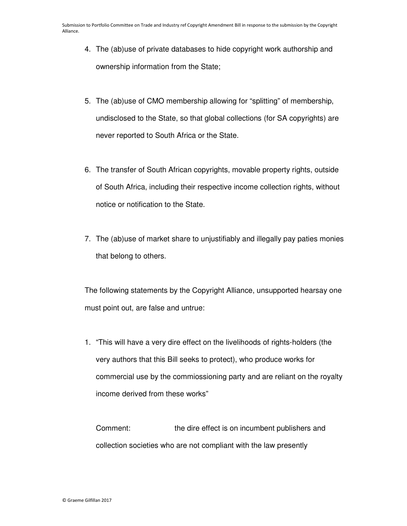- 4. The (ab)use of private databases to hide copyright work authorship and ownership information from the State;
- 5. The (ab)use of CMO membership allowing for "splitting" of membership, undisclosed to the State, so that global collections (for SA copyrights) are never reported to South Africa or the State.
- 6. The transfer of South African copyrights, movable property rights, outside of South Africa, including their respective income collection rights, without notice or notification to the State.
- 7. The (ab)use of market share to unjustifiably and illegally pay paties monies that belong to others.

The following statements by the Copyright Alliance, unsupported hearsay one must point out, are false and untrue:

1. "This will have a very dire effect on the livelihoods of rights-holders (the very authors that this Bill seeks to protect), who produce works for commercial use by the commiossioning party and are reliant on the royalty income derived from these works"

Comment: the dire effect is on incumbent publishers and collection societies who are not compliant with the law presently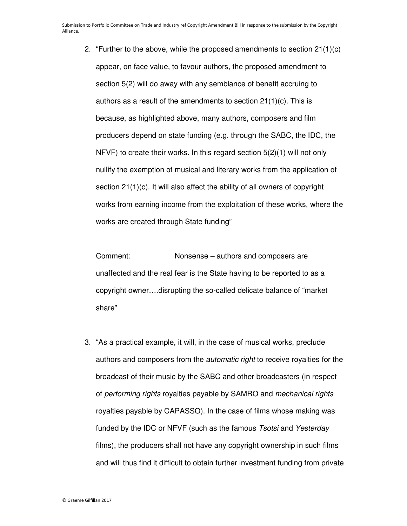2. "Further to the above, while the proposed amendments to section 21(1)(c) appear, on face value, to favour authors, the proposed amendment to section 5(2) will do away with any semblance of benefit accruing to authors as a result of the amendments to section 21(1)(c). This is because, as highlighted above, many authors, composers and film producers depend on state funding (e.g. through the SABC, the IDC, the NFVF) to create their works. In this regard section 5(2)(1) will not only nullify the exemption of musical and literary works from the application of section 21(1)(c). It will also affect the ability of all owners of copyright works from earning income from the exploitation of these works, where the works are created through State funding"

Comment: Nonsense – authors and composers are unaffected and the real fear is the State having to be reported to as a copyright owner….disrupting the so-called delicate balance of "market share"

3. "As a practical example, it will, in the case of musical works, preclude authors and composers from the automatic right to receive royalties for the broadcast of their music by the SABC and other broadcasters (in respect of performing rights royalties payable by SAMRO and mechanical rights royalties payable by CAPASSO). In the case of films whose making was funded by the IDC or NFVF (such as the famous Tsotsi and Yesterday films), the producers shall not have any copyright ownership in such films and will thus find it difficult to obtain further investment funding from private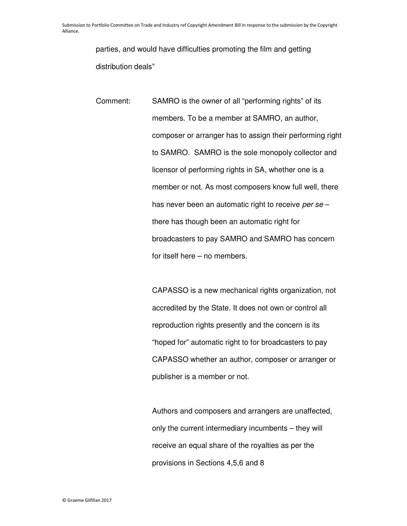parties, and would have difficulties promoting the film and getting distribution deals"

Comment: SAMRO is the owner of all "performing rights" of its members. To be a member at SAMRO, an author, composer or arranger has to assign their performing right to SAMRO. SAMRO is the sole monopoly collector and licensor of performing rights in SA, whether one is a member or not. As most composers know full well, there has never been an automatic right to receive per se there has though been an automatic right for broadcasters to pay SAMRO and SAMRO has concern for itself here – no members.

> CAPASSO is a new mechanical rights organization, not accredited by the State. It does not own or control all reproduction rights presently and the concern is its "hoped for" automatic right to for broadcasters to pay CAPASSO whether an author, composer or arranger or publisher is a member or not.

Authors and composers and arrangers are unaffected, only the current intermediary incumbents – they will receive an equal share of the royalties as per the provisions in Sections 4,5,6 and 8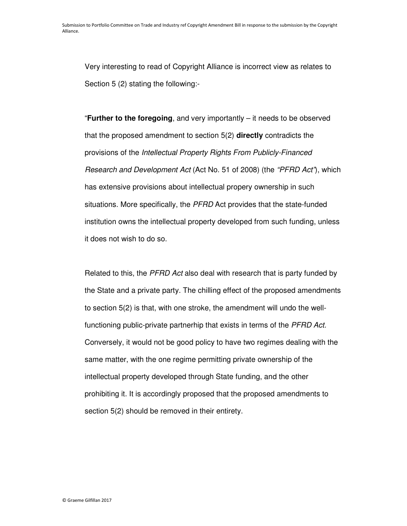Very interesting to read of Copyright Alliance is incorrect view as relates to Section 5 (2) stating the following:-

"**Further to the foregoing**, and very importantly – it needs to be observed that the proposed amendment to section 5(2) **directly** contradicts the provisions of the Intellectual Property Rights From Publicly-Financed Research and Development Act (Act No. 51 of 2008) (the "PFRD Act"), which has extensive provisions about intellectual propery ownership in such situations. More specifically, the PFRD Act provides that the state-funded institution owns the intellectual property developed from such funding, unless it does not wish to do so.

Related to this, the *PFRD Act* also deal with research that is party funded by the State and a private party. The chilling effect of the proposed amendments to section 5(2) is that, with one stroke, the amendment will undo the wellfunctioning public-private partnerhip that exists in terms of the PFRD Act. Conversely, it would not be good policy to have two regimes dealing with the same matter, with the one regime permitting private ownership of the intellectual property developed through State funding, and the other prohibiting it. It is accordingly proposed that the proposed amendments to section 5(2) should be removed in their entirety.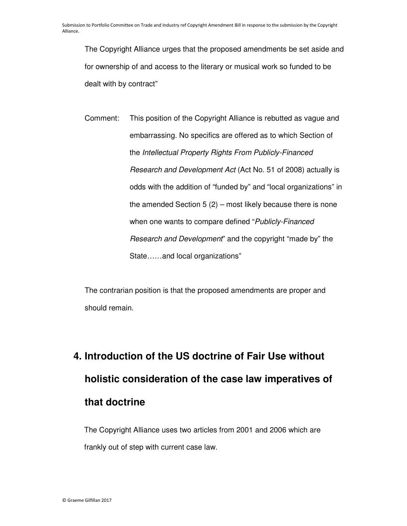The Copyright Alliance urges that the proposed amendments be set aside and for ownership of and access to the literary or musical work so funded to be dealt with by contract"

Comment: This position of the Copyright Alliance is rebutted as vague and embarrassing. No specifics are offered as to which Section of the Intellectual Property Rights From Publicly-Financed Research and Development Act (Act No. 51 of 2008) actually is odds with the addition of "funded by" and "local organizations" in the amended Section  $5(2)$  – most likely because there is none when one wants to compare defined "Publicly-Financed" Research and Development" and the copyright "made by" the State……and local organizations"

The contrarian position is that the proposed amendments are proper and should remain.

# **4. Introduction of the US doctrine of Fair Use without holistic consideration of the case law imperatives of that doctrine**

The Copyright Alliance uses two articles from 2001 and 2006 which are frankly out of step with current case law.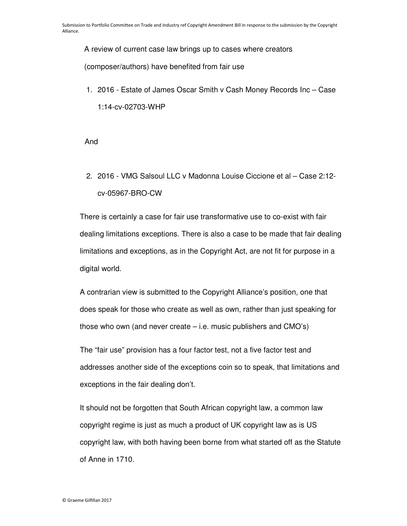A review of current case law brings up to cases where creators

(composer/authors) have benefited from fair use

1. 2016 - Estate of James Oscar Smith v Cash Money Records Inc – Case 1:14-cv-02703-WHP

And

2. 2016 - VMG Salsoul LLC v Madonna Louise Ciccione et al – Case 2:12 cv-05967-BRO-CW

There is certainly a case for fair use transformative use to co-exist with fair dealing limitations exceptions. There is also a case to be made that fair dealing limitations and exceptions, as in the Copyright Act, are not fit for purpose in a digital world.

A contrarian view is submitted to the Copyright Alliance's position, one that does speak for those who create as well as own, rather than just speaking for those who own (and never create – i.e. music publishers and CMO's)

The "fair use" provision has a four factor test, not a five factor test and addresses another side of the exceptions coin so to speak, that limitations and exceptions in the fair dealing don't.

It should not be forgotten that South African copyright law, a common law copyright regime is just as much a product of UK copyright law as is US copyright law, with both having been borne from what started off as the Statute of Anne in 1710.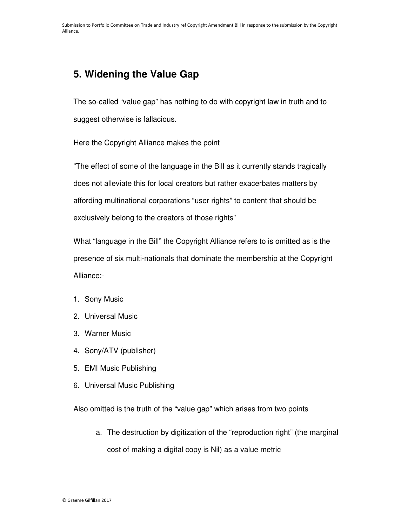### **5. Widening the Value Gap**

The so-called "value gap" has nothing to do with copyright law in truth and to suggest otherwise is fallacious.

Here the Copyright Alliance makes the point

"The effect of some of the language in the Bill as it currently stands tragically does not alleviate this for local creators but rather exacerbates matters by affording multinational corporations "user rights" to content that should be exclusively belong to the creators of those rights"

What "language in the Bill" the Copyright Alliance refers to is omitted as is the presence of six multi-nationals that dominate the membership at the Copyright Alliance:-

- 1. Sony Music
- 2. Universal Music
- 3. Warner Music
- 4. Sony/ATV (publisher)
- 5. EMI Music Publishing
- 6. Universal Music Publishing

Also omitted is the truth of the "value gap" which arises from two points

a. The destruction by digitization of the "reproduction right" (the marginal cost of making a digital copy is Nil) as a value metric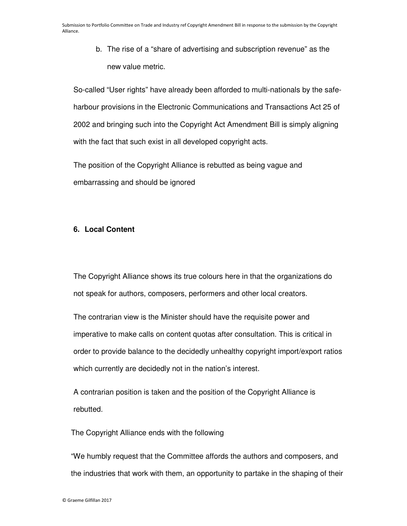b. The rise of a "share of advertising and subscription revenue" as the new value metric.

So-called "User rights" have already been afforded to multi-nationals by the safeharbour provisions in the Electronic Communications and Transactions Act 25 of 2002 and bringing such into the Copyright Act Amendment Bill is simply aligning with the fact that such exist in all developed copyright acts.

The position of the Copyright Alliance is rebutted as being vague and embarrassing and should be ignored

#### **6. Local Content**

The Copyright Alliance shows its true colours here in that the organizations do not speak for authors, composers, performers and other local creators.

The contrarian view is the Minister should have the requisite power and imperative to make calls on content quotas after consultation. This is critical in order to provide balance to the decidedly unhealthy copyright import/export ratios which currently are decidedly not in the nation's interest.

A contrarian position is taken and the position of the Copyright Alliance is rebutted.

The Copyright Alliance ends with the following

"We humbly request that the Committee affords the authors and composers, and the industries that work with them, an opportunity to partake in the shaping of their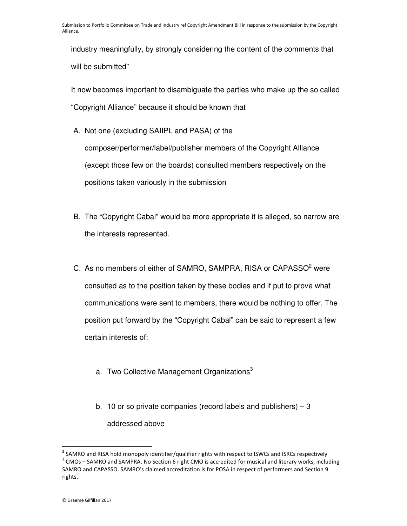industry meaningfully, by strongly considering the content of the comments that will be submitted"

It now becomes important to disambiguate the parties who make up the so called "Copyright Alliance" because it should be known that

- A. Not one (excluding SAIIPL and PASA) of the composer/performer/label/publisher members of the Copyright Alliance (except those few on the boards) consulted members respectively on the positions taken variously in the submission
- B. The "Copyright Cabal" would be more appropriate it is alleged, so narrow are the interests represented.
- C. As no members of either of SAMRO, SAMPRA, RISA or CAPASSO<sup>2</sup> were consulted as to the position taken by these bodies and if put to prove what communications were sent to members, there would be nothing to offer. The position put forward by the "Copyright Cabal" can be said to represent a few certain interests of:
	- a. Two Collective Management Organizations<sup>3</sup>
	- b. 10 or so private companies (record labels and publishers) 3 addressed above

l,

<sup>&</sup>lt;sup>2</sup> SAMRO and RISA hold monopoly identifier/qualifier rights with respect to ISWCs and ISRCs respectively  $3$  CMOs – SAMRO and SAMPRA. No Section 6 right CMO is accredited for musical and literary works, including SAMRO and CAPASSO. SAMRO's claimed accreditation is for POSA in respect of performers and Section 9 rights.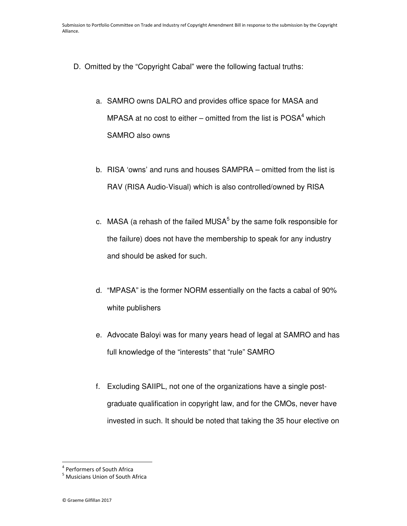- D. Omitted by the "Copyright Cabal" were the following factual truths:
	- a. SAMRO owns DALRO and provides office space for MASA and MPASA at no cost to either – omitted from the list is  $POSA<sup>4</sup>$  which SAMRO also owns
	- b. RISA 'owns' and runs and houses SAMPRA omitted from the list is RAV (RISA Audio-Visual) which is also controlled/owned by RISA
	- c. MASA (a rehash of the failed MUSA $<sup>5</sup>$  by the same folk responsible for</sup> the failure) does not have the membership to speak for any industry and should be asked for such.
	- d. "MPASA" is the former NORM essentially on the facts a cabal of 90% white publishers
	- e. Advocate Baloyi was for many years head of legal at SAMRO and has full knowledge of the "interests" that "rule" SAMRO
	- f. Excluding SAIIPL, not one of the organizations have a single postgraduate qualification in copyright law, and for the CMOs, never have invested in such. It should be noted that taking the 35 hour elective on

l,

<sup>4</sup> Performers of South Africa

<sup>&</sup>lt;sup>5</sup> Musicians Union of South Africa